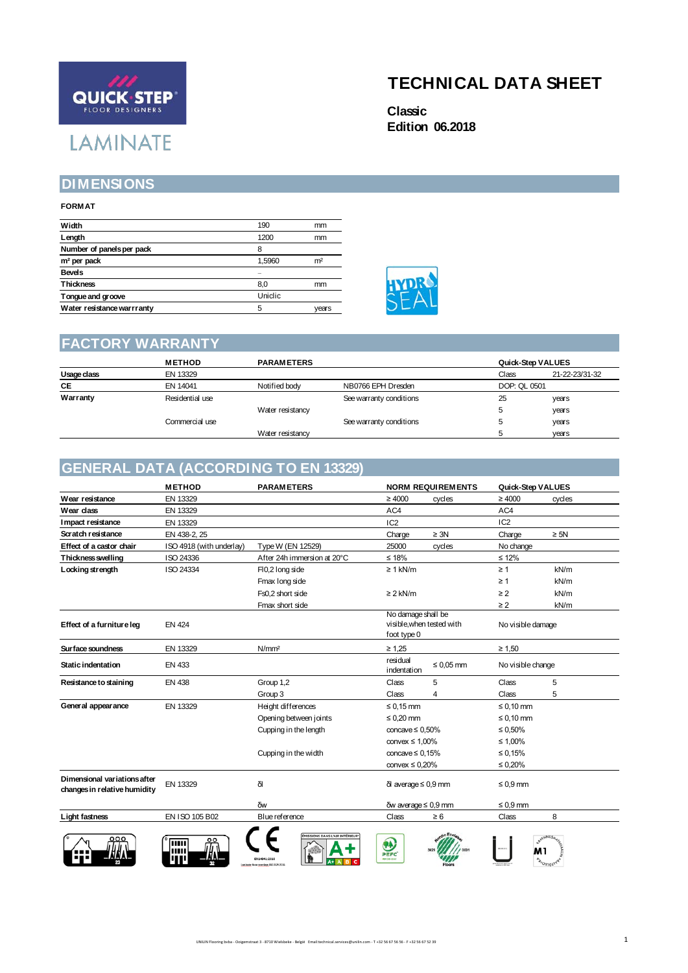# **QUICK STEP LAMINATE**

## **TECHNICAL DATA SHEET**

**Classic Edition 06.2018**

#### **DIMENSIONS**

#### **FORMAT**

| Width                      | 190     | mm             |
|----------------------------|---------|----------------|
| Length                     | 1200    | mm             |
| Number of panels per pack  | 8       |                |
| m <sup>2</sup> per pack    | 1,5960  | m <sup>2</sup> |
| <b>Bevels</b>              | -       |                |
| <b>Thickness</b>           | 8,0     | mm             |
| Tongue and groove          | Uniclic |                |
| Water resistance warrranty | 5       | vears          |



#### **FACTORY WARRANTY**

|             | <b>METHOD</b>   | <b>PARAMETERS</b> |                         |              | Quick-Step VALUES |  |
|-------------|-----------------|-------------------|-------------------------|--------------|-------------------|--|
| Usage class | EN 13329        |                   |                         | Class        | 21-22-23/31-32    |  |
| <b>CE</b>   | EN 14041        | Notified body     | NB0766 EPH Dresden      | DOP: QL 0501 |                   |  |
| Warranty    | Residential use |                   | See warranty conditions | 25           | years             |  |
|             |                 | Water resistancy  |                         | 5            | years             |  |
|             | Commercial use  |                   | See warranty conditions | 5            | years             |  |
|             |                 | Water resistancy  |                         | $\mathbf{p}$ | years             |  |

### **GENERAL DATA (ACCORDING TO EN 13329)**

|                                                              | <b>METHOD</b>            | <b>PARAMETERS</b>             |                                                                | <b>NORM REQUIREMENTS</b> | Quick-Step VALUES |           |
|--------------------------------------------------------------|--------------------------|-------------------------------|----------------------------------------------------------------|--------------------------|-------------------|-----------|
| Wear resistance                                              | EN 13329                 |                               | $\geq 4000$                                                    | cycles                   | $\geq 4000$       | cycles    |
| Wear class                                                   | EN 13329                 |                               | AC4                                                            |                          | AC4               |           |
| Impact resistance                                            | EN 13329                 |                               | IC <sub>2</sub>                                                |                          | IC <sub>2</sub>   |           |
| Scratch resistance                                           | EN 438-2, 25             |                               | Charge                                                         | $\geq 3N$                | Charge            | $\geq$ 5N |
| Effect of a castor chair                                     | ISO 4918 (with underlay) | Type W (EN 12529)             | 25000                                                          | cycles                   | No change         |           |
| Thickness swelling                                           | ISO 24336                | After 24h immersion at 20°C   | $≤ 18%$                                                        |                          | $\leq$ 12%        |           |
| Locking strength                                             | ISO 24334                | FI0,2 long side               | $\geq 1$ kN/m                                                  |                          | $\geq 1$          | kN/m      |
|                                                              |                          | Fmax long side                |                                                                |                          | $\geq 1$          | kN/m      |
|                                                              |                          | Fs0,2 short side              | $\geq$ 2 kN/m                                                  |                          | $\geq$ 2          | kN/m      |
|                                                              |                          | Fmax short side               |                                                                |                          | $\geq$ 2          | kN/m      |
| Effect of a furniture leg                                    | <b>EN 424</b>            |                               | No damage shall be<br>visible, when tested with<br>foot type 0 |                          | No visible damage |           |
| Sur face soundness                                           | EN 13329                 | N/mm <sup>2</sup>             | $\geq 1.25$                                                    |                          | $\geq 1.50$       |           |
| Static indentation                                           | EN 433                   |                               | residual<br>indentation                                        | $\leq 0.05$ mm           | No visible change |           |
| Resistance to staining                                       | <b>EN 438</b>            | Group 1,2                     | Class                                                          | 5                        | Class             | 5         |
|                                                              |                          | Group 3                       | Class                                                          | 4                        | Class             | 5         |
| General appearance                                           | EN 13329                 | Height differences            | $\leq 0.15$ mm                                                 |                          | $\leq 0.10$ mm    |           |
|                                                              |                          | Opening between joints        | $\leq 0.20$ mm                                                 |                          | $\leq 0.10$ mm    |           |
|                                                              |                          | Cupping in the length         | concave $\leq 0.50\%$                                          |                          | $\leq 0.50\%$     |           |
|                                                              |                          |                               | convex $\leq 1,00\%$                                           |                          | $\leq 1,00\%$     |           |
|                                                              |                          | Cupping in the width          | concave $\leq 0.15\%$                                          |                          | $\leq 0.15\%$     |           |
|                                                              |                          |                               | convex $\leq 0.20\%$                                           |                          | $\leq 0.20\%$     |           |
| Dimensional variations after<br>changes in relative humidity | EN 13329                 | δl                            | $\delta$ l average $\leq 0.9$ mm                               |                          | $\leq 0.9$ mm     |           |
|                                                              |                          | δw                            | $\delta w$ average $\leq 0.9$ mm                               |                          | $\leq 0.9$ mm     |           |
| Light fastness                                               | EN ISO 105 B02           | Blue reference                | Class                                                          | $\geq 6$                 | Class             | 8         |
|                                                              | TIIII                    | MISSIONS DANS L'AIR INTÉRIEUR | 0<br>PEFC<br>PDF 018-52-2                                      |                          |                   |           |